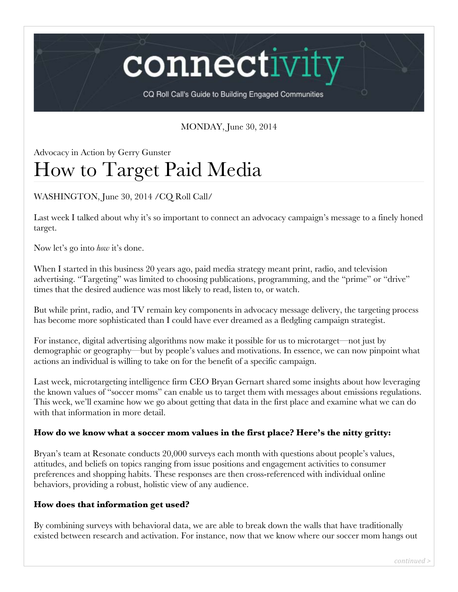connectivi

CQ Roll Call's Guide to Building Engaged Communities

## MONDAY, June 30, 2014

# Advocacy in Action by Gerry Gunster How to Target Paid Media

## WASHINGTON, June 30, 2014 /CQ Roll Call/

Last week I talked about why it's so important to connect an advocacy campaign's message to a finely honed target.

Now let's go into *how* it's done.

When I started in this business 20 years ago, paid media strategy meant print, radio, and television advertising. "Targeting" was limited to choosing publications, programming, and the "prime" or "drive" times that the desired audience was most likely to read, listen to, or watch.

But while print, radio, and TV remain key components in advocacy message delivery, the targeting process has become more sophisticated than I could have ever dreamed as a fledgling campaign strategist.

For instance, digital advertising algorithms now make it possible for us to microtarget—not just by demographic or geography—but by people's values and motivations. In essence, we can now pinpoint what actions an individual is willing to take on for the benefit of a specific campaign.

Last week, microtargeting intelligence firm CEO Bryan Gernart shared some insights about how leveraging the known values of "soccer moms" can enable us to target them with messages about emissions regulations. This week, we'll examine how we go about getting that data in the first place and examine what we can do with that information in more detail.

#### **How do we know what a soccer mom values in the first place? Here's the nitty gritty:**

Bryan's team at Resonate conducts 20,000 surveys each month with questions about people's values, attitudes, and beliefs on topics ranging from issue positions and engagement activities to consumer preferences and shopping habits. These responses are then cross-referenced with individual online behaviors, providing a robust, holistic view of any audience.

#### **How does that information get used?**

By combining surveys with behavioral data, we are able to break down the walls that have traditionally existed between research and activation. For instance, now that we know where our soccer mom hangs out